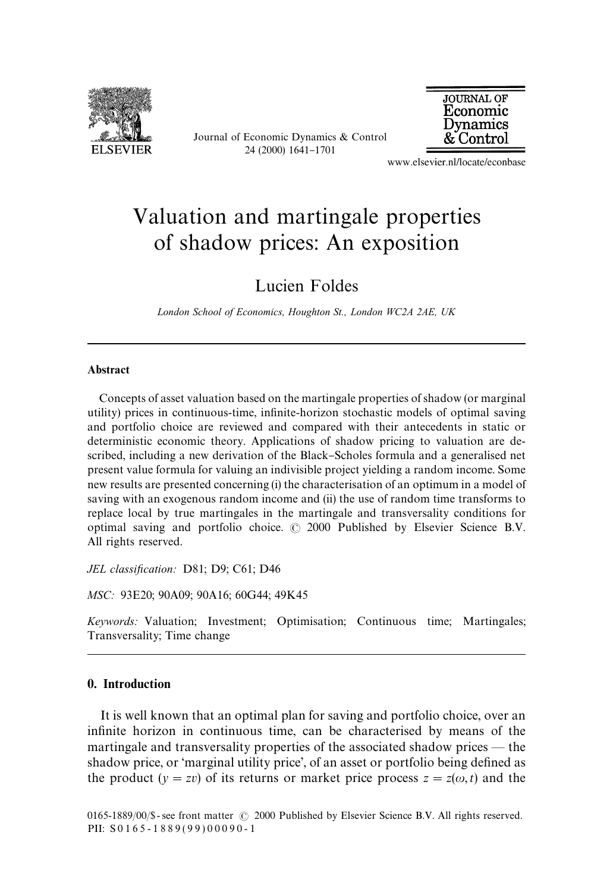

Journal of Economic Dynamics & Control 24 (2000) 1641-1701



www.elsevier.nl/locate/econbase

## Valuation and martingale properties of shadow prices: An exposition

Lucien Foldes

*London School of Economics, Houghton St., London WC2A 2AE, UK*

## Abstract

Concepts of asset valuation based on the martingale properties of shadow (or marginal utility) prices in continuous-time, infinite-horizon stochastic models of optimal saving and portfolio choice are reviewed and compared with their antecedents in static or deterministic economic theory. Applications of shadow pricing to valuation are described, including a new derivation of the Black–Scholes formula and a generalised net present value formula for valuing an indivisible project yielding a random income. Some new results are presented concerning (i) the characterisation of an optimum in a model of saving with an exogenous random income and (ii) the use of random time transforms to replace local by true martingales in the martingale and transversality conditions for optimal saving and portfolio choice.  $\odot$  2000 Published by Elsevier Science B.V. All rights reserved.

*JEL classification:* D81; D9; C61; D46

*MSC:* 93E20; 90A09; 90A16; 60G44; 49K45

*Keywords:* Valuation; Investment; Optimisation; Continuous time; Martingales; Transversality; Time change

## 0. Introduction

It is well known that an optimal plan for saving and portfolio choice, over an infinite horizon in continuous time, can be characterised by means of the martingale and transversality properties of the associated shadow prices  $-$  the shadow price, or 'marginal utility price', of an asset or portfolio being defined as the product  $(y = zv)$  of its returns or market price process  $z = z(\omega, t)$  and the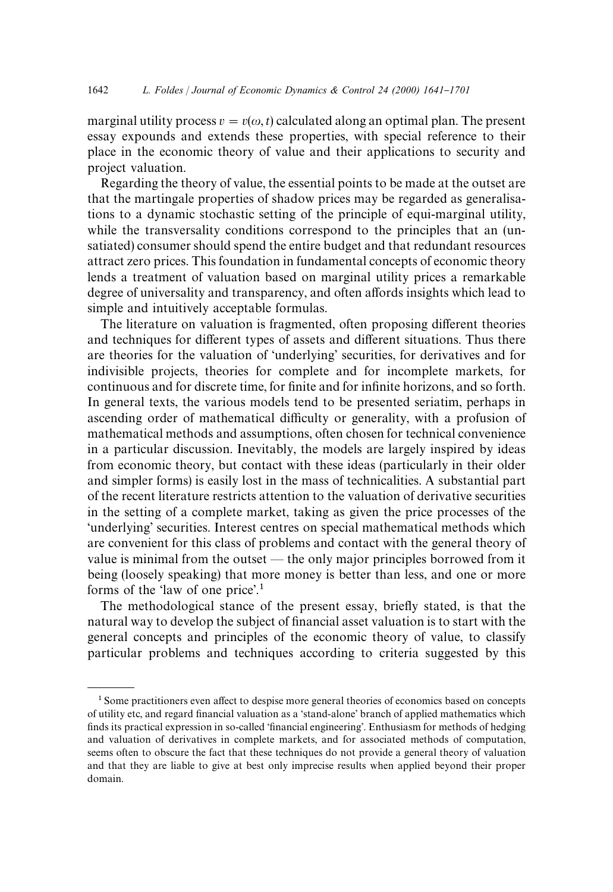marginal utility process  $v = v(\omega, t)$  calculated along an optimal plan. The present essay expounds and extends these properties, with special reference to their place in the economic theory of value and their applications to security and project valuation.

Regarding the theory of value, the essential points to be made at the outset are that the martingale properties of shadow prices may be regarded as generalisations to a dynamic stochastic setting of the principle of equi-marginal utility, while the transversality conditions correspond to the principles that an (unsatiated) consumer should spend the entire budget and that redundant resources attract zero prices. This foundation in fundamental concepts of economic theory lends a treatment of valuation based on marginal utility prices a remarkable degree of universality and transparency, and often affords insights which lead to simple and intuitively acceptable formulas.

The literature on valuation is fragmented, often proposing different theories and techniques for different types of assets and different situations. Thus there are theories for the valuation of 'underlying' securities, for derivatives and for indivisible projects, theories for complete and for incomplete markets, for continuous and for discrete time, for finite and for infinite horizons, and so forth. In general texts, the various models tend to be presented seriatim, perhaps in ascending order of mathematical difficulty or generality, with a profusion of mathematical methods and assumptions, often chosen for technical convenience in a particular discussion. Inevitably, the models are largely inspired by ideas from economic theory, but contact with these ideas (particularly in their older and simpler forms) is easily lost in the mass of technicalities. A substantial part of the recent literature restricts attention to the valuation of derivative securities in the setting of a complete market, taking as given the price processes of the 'underlying' securities. Interest centres on special mathematical methods which are convenient for this class of problems and contact with the general theory of value is minimal from the outset  $-$  the only major principles borrowed from it being (loosely speaking) that more money is better than less, and one or more forms of the 'law of one price'.<sup>1</sup>

The methodological stance of the present essay, briefly stated, is that the natural way to develop the subject of financial asset valuation is to start with the general concepts and principles of the economic theory of value, to classify particular problems and techniques according to criteria suggested by this

 $<sup>1</sup>$  Some practitioners even affect to despise more general theories of economics based on concepts</sup> of utility etc, and regard financial valuation as a 'stand-alone' branch of applied mathematics which finds its practical expression in so-called 'financial engineering'. Enthusiasm for methods of hedging and valuation of derivatives in complete markets, and for associated methods of computation, seems often to obscure the fact that these techniques do not provide a general theory of valuation and that they are liable to give at best only imprecise results when applied beyond their proper domain.